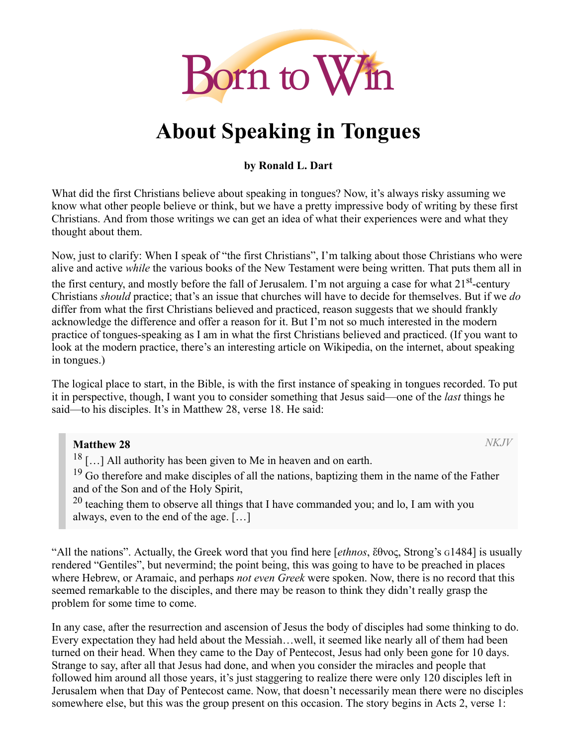

# About Speaking in Tongues

#### by Ronald L. Dart

What did the first Christians believe about speaking in tongues? Now, it's always risky assuming we know what other people believe or think, but we have a pretty impressive body of writing by these first Christians. And from those writings we can get an idea of what their experiences were and what they thought about them.

Now, just to clarify: When I speak of "the first Christians", I'm talking about those Christians who were alive and active *while* the various books of the New Testament were being written. That puts them all in the first century, and mostly before the fall of Jerusalem. I'm not arguing a case for what 21<sup>st</sup>-century Christians *should* practice; that's an issue that churches will have to decide for themselves. But if we *do* differ from what the first Christians believed and practiced, reason suggests that we should frankly acknowledge the difference and offer a reason for it. But I'm not so much interested in the modern practice of tongues-speaking as I am in what the first Christians believed and practiced. (If you want to look at the modern practice, there's an interesting article on Wikipedia, on the internet, about speaking in tongues.)

The logical place to start, in the Bible, is with the first instance of speaking in tongues recorded. To put it in perspective, though, I want you to consider something that Jesus said—one of the *last* things he said—to his disciples. It's in Matthew 28, verse 18. He said:

#### Matthew 28

*NKJV*

<sup>18</sup> [...] All authority has been given to Me in heaven and on earth.

<sup>19</sup> Go therefore and make disciples of all the nations, baptizing them in the name of the Father and of the Son and of the Holy Spirit,

 $20$  teaching them to observe all things that I have commanded you; and lo, I am with you always, even to the end of the age. […]

"All the nations". Actually, the Greek word that you find here [*ethnos*, ἔθνος, Strong's G1484] is usually rendered "Gentiles", but nevermind; the point being, this was going to have to be preached in places where Hebrew, or Aramaic, and perhaps *not even Greek* were spoken. Now, there is no record that this seemed remarkable to the disciples, and there may be reason to think they didn't really grasp the problem for some time to come.

In any case, after the resurrection and ascension of Jesus the body of disciples had some thinking to do. Every expectation they had held about the Messiah…well, it seemed like nearly all of them had been turned on their head. When they came to the Day of Pentecost, Jesus had only been gone for 10 days. Strange to say, after all that Jesus had done, and when you consider the miracles and people that followed him around all those years, it's just staggering to realize there were only 120 disciples left in Jerusalem when that Day of Pentecost came. Now, that doesn't necessarily mean there were no disciples somewhere else, but this was the group present on this occasion. The story begins in Acts 2, verse 1: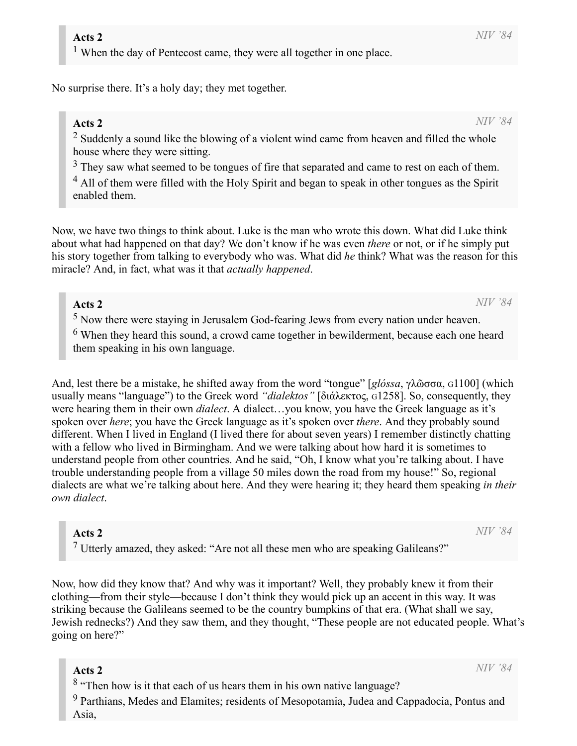<sup>1</sup> When the day of Pentecost came, they were all together in one place.

No surprise there. It's a holy day; they met together.

#### Acts 2

*NIV '84*

*NIV '84*

 $2$  Suddenly a sound like the blowing of a violent wind came from heaven and filled the whole house where they were sitting.

 $3$  They saw what seemed to be tongues of fire that separated and came to rest on each of them.

<sup>4</sup> All of them were filled with the Holy Spirit and began to speak in other tongues as the Spirit enabled them.

Now, we have two things to think about. Luke is the man who wrote this down. What did Luke think about what had happened on that day? We don't know if he was even *there* or not, or if he simply put his story together from talking to everybody who was. What did *he* think? What was the reason for this miracle? And, in fact, what was it that *actually happened*.

#### Acts 2

<sup>5</sup> Now there were staying in Jerusalem God-fearing Jews from every nation under heaven.

<sup>6</sup> When they heard this sound, a crowd came together in bewilderment, because each one heard them speaking in his own language.

And, lest there be a mistake, he shifted away from the word "tongue" [*glóssa*, γλῶσσα, G1100] (which usually means "language") to the Greek word *"dialektos"* [διάλεκτος, G1258]. So, consequently, they were hearing them in their own *dialect*. A dialect…you know, you have the Greek language as it's spoken over *here*; you have the Greek language as it's spoken over *there*. And they probably sound different. When I lived in England (I lived there for about seven years) I remember distinctly chatting with a fellow who lived in Birmingham. And we were talking about how hard it is sometimes to understand people from other countries. And he said, "Oh, I know what you're talking about. I have trouble understanding people from a village 50 miles down the road from my house!" So, regional dialects are what we're talking about here. And they were hearing it; they heard them speaking *in their own dialect*.

#### Acts 2

<sup>7</sup> Utterly amazed, they asked: "Are not all these men who are speaking Galileans?"

Now, how did they know that? And why was it important? Well, they probably knew it from their clothing—from their style—because I don't think they would pick up an accent in this way. It was striking because the Galileans seemed to be the country bumpkins of that era. (What shall we say, Jewish rednecks?) And they saw them, and they thought, "These people are not educated people. What's going on here?"

#### Acts 2

<sup>8</sup> "Then how is it that each of us hears them in his own native language?

<sup>9</sup> Parthians, Medes and Elamites; residents of Mesopotamia, Judea and Cappadocia, Pontus and Asia,

*NIV '84*

*NIV '84*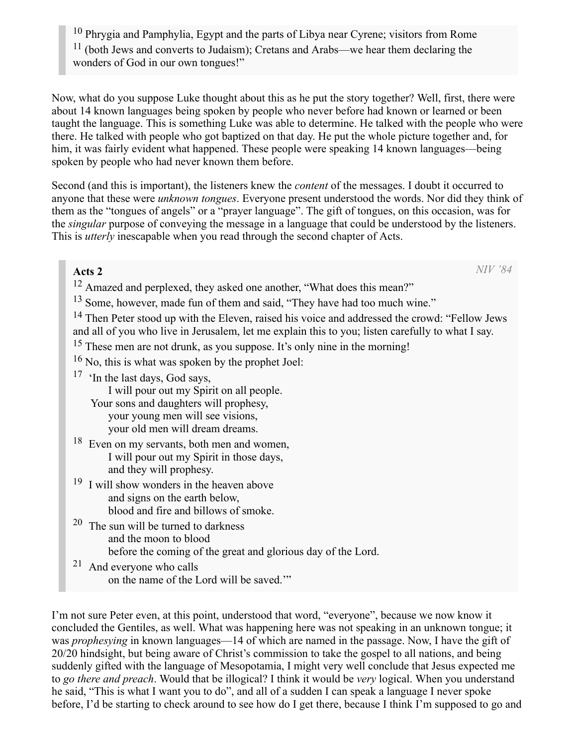<sup>10</sup> Phrygia and Pamphylia, Egypt and the parts of Libya near Cyrene; visitors from Rome <sup>11</sup> (both Jews and converts to Judaism); Cretans and Arabs—we hear them declaring the wonders of God in our own tongues!"

Now, what do you suppose Luke thought about this as he put the story together? Well, first, there were about 14 known languages being spoken by people who never before had known or learned or been taught the language. This is something Luke was able to determine. He talked with the people who were there. He talked with people who got baptized on that day. He put the whole picture together and, for him, it was fairly evident what happened. These people were speaking 14 known languages—being spoken by people who had never known them before.

Second (and this is important), the listeners knew the *content* of the messages. I doubt it occurred to anyone that these were *unknown tongues*. Everyone present understood the words. Nor did they think of them as the "tongues of angels" or a "prayer language". The gift of tongues, on this occasion, was for the *singular* purpose of conveying the message in a language that could be understood by the listeners. This is *utterly* inescapable when you read through the second chapter of Acts.

#### Acts 2

*NIV '84*

<sup>12</sup> Amazed and perplexed, they asked one another, "What does this mean?"

<sup>13</sup> Some, however, made fun of them and said, "They have had too much wine."

<sup>14</sup> Then Peter stood up with the Eleven, raised his voice and addressed the crowd: "Fellow Jews and all of you who live in Jerusalem, let me explain this to you; listen carefully to what I say.

<sup>15</sup> These men are not drunk, as you suppose. It's only nine in the morning!

16 No, this is what was spoken by the prophet Joel:

<sup>17</sup> 'In the last days, God says,

I will pour out my Spirit on all people.

Your sons and daughters will prophesy, your young men will see visions, your old men will dream dreams.

- <sup>18</sup> Even on my servants, both men and women, I will pour out my Spirit in those days, and they will prophesy.
- <sup>19</sup> I will show wonders in the heaven above and signs on the earth below, blood and fire and billows of smoke.
- <sup>20</sup> The sun will be turned to darkness and the moon to blood before the coming of the great and glorious day of the Lord.
- <sup>21</sup> And everyone who calls on the name of the Lord will be saved.'"

I'm not sure Peter even, at this point, understood that word, "everyone", because we now know it concluded the Gentiles, as well. What was happening here was not speaking in an unknown tongue; it was *prophesying* in known languages—14 of which are named in the passage. Now, I have the gift of 20/20 hindsight, but being aware of Christ's commission to take the gospel to all nations, and being suddenly gifted with the language of Mesopotamia, I might very well conclude that Jesus expected me to *go there and preach*. Would that be illogical? I think it would be *very* logical. When you understand he said, "This is what I want you to do", and all of a sudden I can speak a language I never spoke before, I'd be starting to check around to see how do I get there, because I think I'm supposed to go and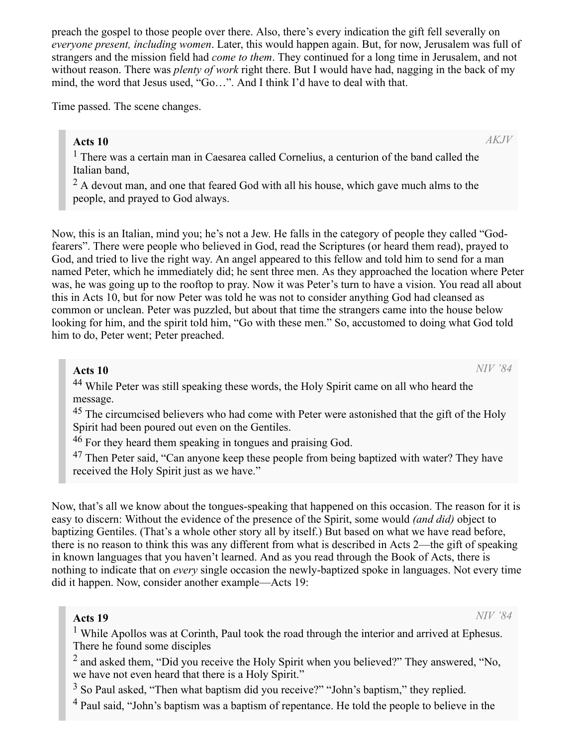preach the gospel to those people over there. Also, there's every indication the gift fell severally on *everyone present, including women*. Later, this would happen again. But, for now, Jerusalem was full of strangers and the mission field had *come to them*. They continued for a long time in Jerusalem, and not without reason. There was *plenty of work* right there. But I would have had, nagging in the back of my mind, the word that Jesus used, "Go…". And I think I'd have to deal with that.

Time passed. The scene changes.

#### Acts 10

*AKJV*

<sup>1</sup> There was a certain man in Caesarea called Cornelius, a centurion of the band called the Italian band,

 $2$  A devout man, and one that feared God with all his house, which gave much alms to the people, and prayed to God always.

Now, this is an Italian, mind you; he's not a Jew. He falls in the category of people they called "Godfearers". There were people who believed in God, read the Scriptures (or heard them read), prayed to God, and tried to live the right way. An angel appeared to this fellow and told him to send for a man named Peter, which he immediately did; he sent three men. As they approached the location where Peter was, he was going up to the rooftop to pray. Now it was Peter's turn to have a vision. You read all about this in Acts 10, but for now Peter was told he was not to consider anything God had cleansed as common or unclean. Peter was puzzled, but about that time the strangers came into the house below looking for him, and the spirit told him, "Go with these men." So, accustomed to doing what God told him to do, Peter went; Peter preached.

#### Acts 10

*NIV '84*

<sup>44</sup> While Peter was still speaking these words, the Holy Spirit came on all who heard the message.

<sup>45</sup> The circumcised believers who had come with Peter were astonished that the gift of the Holy Spirit had been poured out even on the Gentiles.

<sup>46</sup> For they heard them speaking in tongues and praising God.

<sup>47</sup> Then Peter said, "Can anyone keep these people from being baptized with water? They have received the Holy Spirit just as we have."

Now, that's all we know about the tongues-speaking that happened on this occasion. The reason for it is easy to discern: Without the evidence of the presence of the Spirit, some would *(and did)* object to baptizing Gentiles. (That's a whole other story all by itself.) But based on what we have read before, there is no reason to think this was any different from what is described in Acts 2—the gift of speaking in known languages that you haven't learned. And as you read through the Book of Acts, there is nothing to indicate that on *every* single occasion the newly-baptized spoke in languages. Not every time did it happen. Now, consider another example—Acts 19:

#### Acts 19

*NIV '84*

<sup>1</sup> While Apollos was at Corinth, Paul took the road through the interior and arrived at Ephesus. There he found some disciples

 $2$  and asked them, "Did you receive the Holy Spirit when you believed?" They answered, "No, we have not even heard that there is a Holy Spirit."

<sup>3</sup> So Paul asked, "Then what baptism did you receive?" "John's baptism," they replied.

<sup>4</sup> Paul said, "John's baptism was a baptism of repentance. He told the people to believe in the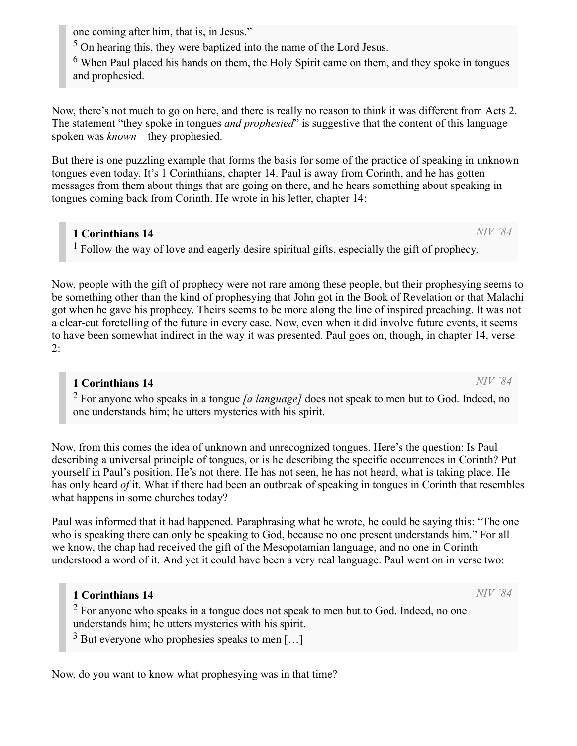one coming after him, that is, in Jesus."

<sup>5</sup> On hearing this, they were baptized into the name of the Lord Jesus.

 $6$  When Paul placed his hands on them, the Holy Spirit came on them, and they spoke in tongues and prophesied.

Now, there's not much to go on here, and there is really no reason to think it was different from Acts 2. The statement "they spoke in tongues *and prophesied*" is suggestive that the content of this language spoken was *known*—they prophesied.

But there is one puzzling example that forms the basis for some of the practice of speaking in unknown tongues even today. It's 1 Corinthians, chapter 14. Paul is away from Corinth, and he has gotten messages from them about things that are going on there, and he hears something about speaking in tongues coming back from Corinth. He wrote in his letter, chapter 14:

#### 1 Corinthians 14

<sup>1</sup> Follow the way of love and eagerly desire spiritual gifts, especially the gift of prophecy.

Now, people with the gift of prophecy were not rare among these people, but their prophesying seems to be something other than the kind of prophesying that John got in the Book of Revelation or that Malachi got when he gave his prophecy. Theirs seems to be more along the line of inspired preaching. It was not a clear-cut foretelling of the future in every case. Now, even when it did involve future events, it seems to have been somewhat indirect in the way it was presented. Paul goes on, though, in chapter 14, verse 2:

#### 1 Corinthians 14

2 For anyone who speaks in a tongue *[a language]* does not speak to men but to God. Indeed, no one understands him; he utters mysteries with his spirit.

Now, from this comes the idea of unknown and unrecognized tongues. Here's the question: Is Paul describing a universal principle of tongues, or is he describing the specific occurrences in Corinth? Put yourself in Paul's position. He's not there. He has not seen, he has not heard, what is taking place. He has only heard *of* it. What if there had been an outbreak of speaking in tongues in Corinth that resembles what happens in some churches today?

Paul was informed that it had happened. Paraphrasing what he wrote, he could be saying this: "The one who is speaking there can only be speaking to God, because no one present understands him." For all we know, the chap had received the gift of the Mesopotamian language, and no one in Corinth understood a word of it. And yet it could have been a very real language. Paul went on in verse two:

#### 1 Corinthians 14

 $2$  For anyone who speaks in a tongue does not speak to men but to God. Indeed, no one understands him; he utters mysteries with his spirit.

 $3$  But everyone who prophesies speaks to men [...]

Now, do you want to know what prophesying was in that time?

*NIV '84*

*NIV '84*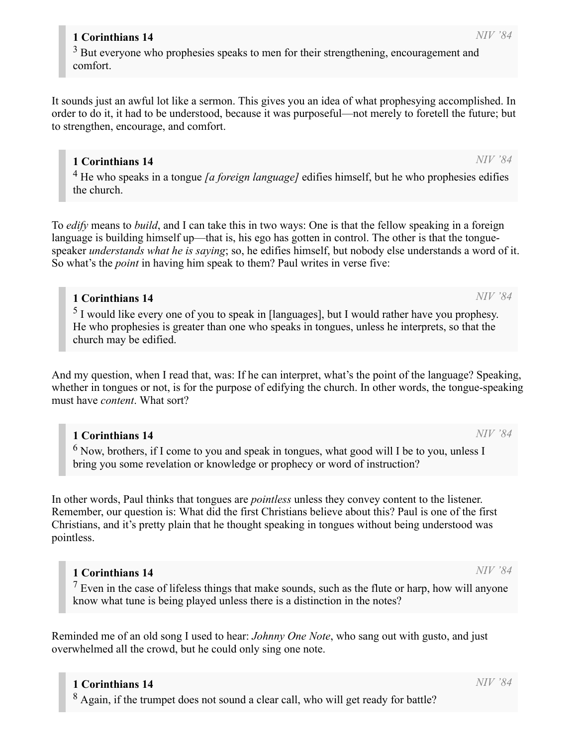### 1 Corinthians 14

<sup>8</sup> Again, if the trumpet does not sound a clear call, who will get ready for battle?

## 1 Corinthians 14

 $3$  But everyone who prophesies speaks to men for their strengthening, encouragement and comfort.

It sounds just an awful lot like a sermon. This gives you an idea of what prophesying accomplished. In order to do it, it had to be understood, because it was purposeful—not merely to foretell the future; but to strengthen, encourage, and comfort.

#### 1 Corinthians 14

4 He who speaks in a tongue *[a foreign language]* edifies himself, but he who prophesies edifies the church.

To *edify* means to *build*, and I can take this in two ways: One is that the fellow speaking in a foreign language is building himself up—that is, his ego has gotten in control. The other is that the tonguespeaker *understands what he is saying*; so, he edifies himself, but nobody else understands a word of it. So what's the *point* in having him speak to them? Paul writes in verse five:

#### 1 Corinthians 14

 $<sup>5</sup>$  I would like every one of you to speak in [languages], but I would rather have you prophesy.</sup> He who prophesies is greater than one who speaks in tongues, unless he interprets, so that the church may be edified.

And my question, when I read that, was: If he can interpret, what's the point of the language? Speaking, whether in tongues or not, is for the purpose of edifying the church. In other words, the tongue-speaking must have *content*. What sort?

#### 1 Corinthians 14

 $<sup>6</sup>$  Now, brothers, if I come to you and speak in tongues, what good will I be to you, unless I</sup> bring you some revelation or knowledge or prophecy or word of instruction?

In other words, Paul thinks that tongues are *pointless* unless they convey content to the listener. Remember, our question is: What did the first Christians believe about this? Paul is one of the first Christians, and it's pretty plain that he thought speaking in tongues without being understood was pointless.

#### 1 Corinthians 14

 $<sup>7</sup>$  Even in the case of lifeless things that make sounds, such as the flute or harp, how will anyone</sup> know what tune is being played unless there is a distinction in the notes?

Reminded me of an old song I used to hear: *Johnny One Note*, who sang out with gusto, and just overwhelmed all the crowd, but he could only sing one note.

# *NIV '84*

*NIV '84*

*NIV '84*

*NIV '84*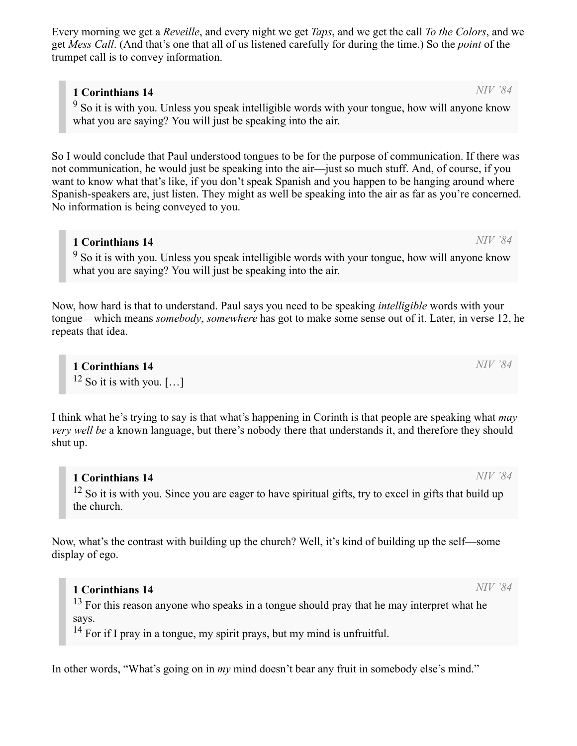Every morning we get a *Reveille*, and every night we get *Taps*, and we get the call *To the Colors*, and we get *Mess Call*. (And that's one that all of us listened carefully for during the time.) So the *point* of the trumpet call is to convey information.

#### 1 Corinthians 14

<sup>9</sup> So it is with you. Unless you speak intelligible words with your tongue, how will anyone know what you are saying? You will just be speaking into the air.

So I would conclude that Paul understood tongues to be for the purpose of communication. If there was not communication, he would just be speaking into the air—just so much stuff. And, of course, if you want to know what that's like, if you don't speak Spanish and you happen to be hanging around where Spanish-speakers are, just listen. They might as well be speaking into the air as far as you're concerned. No information is being conveyed to you.

#### 1 Corinthians 14

<sup>9</sup> So it is with you. Unless you speak intelligible words with your tongue, how will anyone know what you are saying? You will just be speaking into the air.

Now, how hard is that to understand. Paul says you need to be speaking *intelligible* words with your tongue—which means *somebody*, *somewhere* has got to make some sense out of it. Later, in verse 12, he repeats that idea.

1 Corinthians 14  $12$  So it is with you. [...]

I think what he's trying to say is that what's happening in Corinth is that people are speaking what *may very well be* a known language, but there's nobody there that understands it, and therefore they should shut up.

### 1 Corinthians 14

<sup>12</sup> So it is with you. Since you are eager to have spiritual gifts, try to excel in gifts that build up the church.

Now, what's the contrast with building up the church? Well, it's kind of building up the self—some display of ego.

1 Corinthians 14 <sup>13</sup> For this reason anyone who speaks in a tongue should pray that he may interpret what he says.

<sup>14</sup> For if I pray in a tongue, my spirit prays, but my mind is unfruitful.

In other words, "What's going on in *my* mind doesn't bear any fruit in somebody else's mind."

*NIV '84*

*NIV '84*

*NIV '84*

*NIV '84*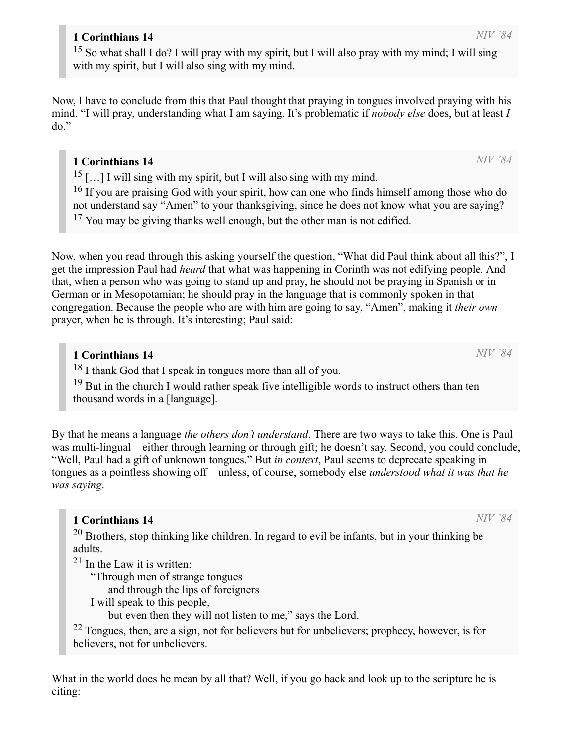#### 1 Corinthians 14

<sup>15</sup> So what shall I do? I will pray with my spirit, but I will also pray with my mind; I will sing with my spirit, but I will also sing with my mind.

Now, I have to conclude from this that Paul thought that praying in tongues involved praying with his mind. "I will pray, understanding what I am saying. It's problematic if *nobody else* does, but at least *I* do."

#### 1 Corinthians 14

 $15$  [...] I will sing with my spirit, but I will also sing with my mind.

<sup>16</sup> If you are praising God with your spirit, how can one who finds himself among those who do not understand say "Amen" to your thanksgiving, since he does not know what you are saying? <sup>17</sup> You may be giving thanks well enough, but the other man is not edified.

Now, when you read through this asking yourself the question, "What did Paul think about all this?", I get the impression Paul had *heard* that what was happening in Corinth was not edifying people. And that, when a person who was going to stand up and pray, he should not be praying in Spanish or in German or in Mesopotamian; he should pray in the language that is commonly spoken in that congregation. Because the people who are with him are going to say, "Amen", making it *their own* prayer, when he is through. It's interesting; Paul said:

#### 1 Corinthians 14

<sup>18</sup> I thank God that I speak in tongues more than all of you.

<sup>19</sup> But in the church I would rather speak five intelligible words to instruct others than ten thousand words in a [language].

By that he means a language *the others don't understand*. There are two ways to take this. One is Paul was multi-lingual—either through learning or through gift; he doesn't say. Second, you could conclude, "Well, Paul had a gift of unknown tongues." But *in context*, Paul seems to deprecate speaking in tongues as a pointless showing off—unless, of course, somebody else *understood what it was that he was saying*.

#### 1 Corinthians 14

 $20$  Brothers, stop thinking like children. In regard to evil be infants, but in your thinking be adults.

 $2<sup>1</sup>$  In the Law it is written:

"Through men of strange tongues

and through the lips of foreigners

I will speak to this people,

but even then they will not listen to me," says the Lord.

 $22$  Tongues, then, are a sign, not for believers but for unbelievers; prophecy, however, is for believers, not for unbelievers.

What in the world does he mean by all that? Well, if you go back and look up to the scripture he is citing:

*NIV '84*

*NIV '84*